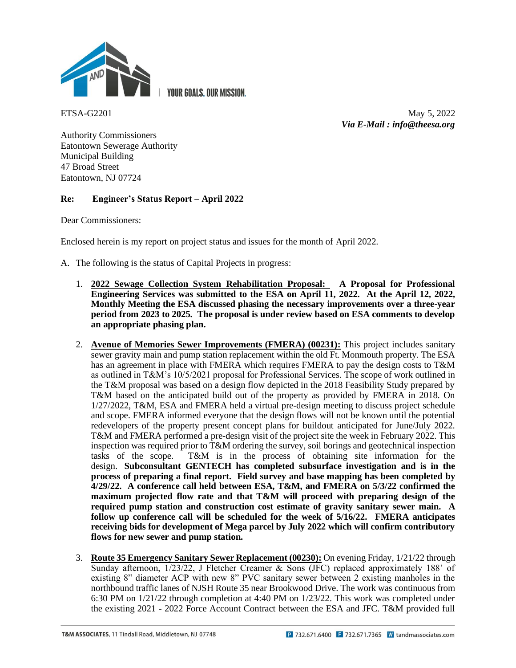

**YOUR GOALS, OUR MISSION.** 

ETSA-G2201 May 5, 2022 *Via E-Mail : info@theesa.org*

Authority Commissioners Eatontown Sewerage Authority Municipal Building 47 Broad Street Eatontown, NJ 07724

# **Re: Engineer's Status Report – April 2022**

Dear Commissioners:

Enclosed herein is my report on project status and issues for the month of April 2022.

- A. The following is the status of Capital Projects in progress:
	- 1. **2022 Sewage Collection System Rehabilitation Proposal: A Proposal for Professional Engineering Services was submitted to the ESA on April 11, 2022. At the April 12, 2022, Monthly Meeting the ESA discussed phasing the necessary improvements over a three-year period from 2023 to 2025. The proposal is under review based on ESA comments to develop an appropriate phasing plan.**
	- 2. **Avenue of Memories Sewer Improvements (FMERA) (00231):** This project includes sanitary sewer gravity main and pump station replacement within the old Ft. Monmouth property. The ESA has an agreement in place with FMERA which requires FMERA to pay the design costs to T&M as outlined in T&M's 10/5/2021 proposal for Professional Services. The scope of work outlined in the T&M proposal was based on a design flow depicted in the 2018 Feasibility Study prepared by T&M based on the anticipated build out of the property as provided by FMERA in 2018. On 1/27/2022, T&M, ESA and FMERA held a virtual pre-design meeting to discuss project schedule and scope. FMERA informed everyone that the design flows will not be known until the potential redevelopers of the property present concept plans for buildout anticipated for June/July 2022. T&M and FMERA performed a pre-design visit of the project site the week in February 2022. This inspection was required prior to T&M ordering the survey, soil borings and geotechnical inspection tasks of the scope. T&M is in the process of obtaining site information for the design. **Subconsultant GENTECH has completed subsurface investigation and is in the process of preparing a final report. Field survey and base mapping has been completed by 4/29/22. A conference call held between ESA, T&M, and FMERA on 5/3/22 confirmed the maximum projected flow rate and that T&M will proceed with preparing design of the required pump station and construction cost estimate of gravity sanitary sewer main. A follow up conference call will be scheduled for the week of 5/16/22. FMERA anticipates receiving bids for development of Mega parcel by July 2022 which will confirm contributory flows for new sewer and pump station.**
	- 3. **Route 35 Emergency Sanitary Sewer Replacement (00230):** On evening Friday, 1/21/22 through Sunday afternoon, 1/23/22, J Fletcher Creamer & Sons (JFC) replaced approximately 188' of existing 8" diameter ACP with new 8" PVC sanitary sewer between 2 existing manholes in the northbound traffic lanes of NJSH Route 35 near Brookwood Drive. The work was continuous from 6:30 PM on 1/21/22 through completion at 4:40 PM on 1/23/22. This work was completed under the existing 2021 - 2022 Force Account Contract between the ESA and JFC. T&M provided full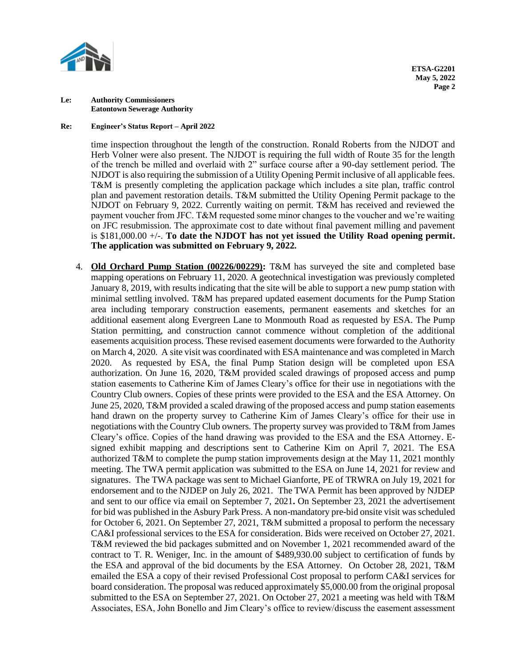

### **Re: Engineer's Status Report – April 2022**

time inspection throughout the length of the construction. Ronald Roberts from the NJDOT and Herb Volner were also present. The NJDOT is requiring the full width of Route 35 for the length of the trench be milled and overlaid with 2" surface course after a 90-day settlement period. The NJDOT is also requiring the submission of a Utility Opening Permit inclusive of all applicable fees. T&M is presently completing the application package which includes a site plan, traffic control plan and pavement restoration details. T&M submitted the Utility Opening Permit package to the NJDOT on February 9, 2022. Currently waiting on permit. T&M has received and reviewed the payment voucher from JFC. T&M requested some minor changes to the voucher and we're waiting on JFC resubmission. The approximate cost to date without final pavement milling and pavement is \$181,000.00 +/-. **To date the NJDOT has not yet issued the Utility Road opening permit. The application was submitted on February 9, 2022.**

4. **Old Orchard Pump Station (00226/00229):** T&M has surveyed the site and completed base mapping operations on February 11, 2020. A geotechnical investigation was previously completed January 8, 2019, with results indicating that the site will be able to support a new pump station with minimal settling involved. T&M has prepared updated easement documents for the Pump Station area including temporary construction easements, permanent easements and sketches for an additional easement along Evergreen Lane to Monmouth Road as requested by ESA. The Pump Station permitting, and construction cannot commence without completion of the additional easements acquisition process. These revised easement documents were forwarded to the Authority on March 4, 2020. A site visit was coordinated with ESA maintenance and was completed in March 2020. As requested by ESA, the final Pump Station design will be completed upon ESA authorization. On June 16, 2020, T&M provided scaled drawings of proposed access and pump station easements to Catherine Kim of James Cleary's office for their use in negotiations with the Country Club owners. Copies of these prints were provided to the ESA and the ESA Attorney. On June 25, 2020, T&M provided a scaled drawing of the proposed access and pump station easements hand drawn on the property survey to Catherine Kim of James Cleary's office for their use in negotiations with the Country Club owners. The property survey was provided to T&M from James Cleary's office. Copies of the hand drawing was provided to the ESA and the ESA Attorney. Esigned exhibit mapping and descriptions sent to Catherine Kim on April 7, 2021. The ESA authorized T&M to complete the pump station improvements design at the May 11, 2021 monthly meeting. The TWA permit application was submitted to the ESA on June 14, 2021 for review and signatures.The TWA package was sent to Michael Gianforte, PE of TRWRA on July 19, 2021 for endorsement and to the NJDEP on July 26, 2021.The TWA Permit has been approved by NJDEP and sent to our office via email on September 7, 2021**.** On September 23, 2021 the advertisement for bid was published in the Asbury Park Press. A non-mandatory pre-bid onsite visit was scheduled for October 6, 2021. On September 27, 2021, T&M submitted a proposal to perform the necessary CA&I professional services to the ESA for consideration. Bids were received on October 27, 2021. T&M reviewed the bid packages submitted and on November 1, 2021 recommended award of the contract to T. R. Weniger, Inc. in the amount of \$489,930.00 subject to certification of funds by the ESA and approval of the bid documents by the ESA Attorney. On October 28, 2021, T&M emailed the ESA a copy of their revised Professional Cost proposal to perform CA&I services for board consideration. The proposal was reduced approximately \$5,000.00 from the original proposal submitted to the ESA on September 27, 2021. On October 27, 2021 a meeting was held with T&M Associates, ESA, John Bonello and Jim Cleary's office to review/discuss the easement assessment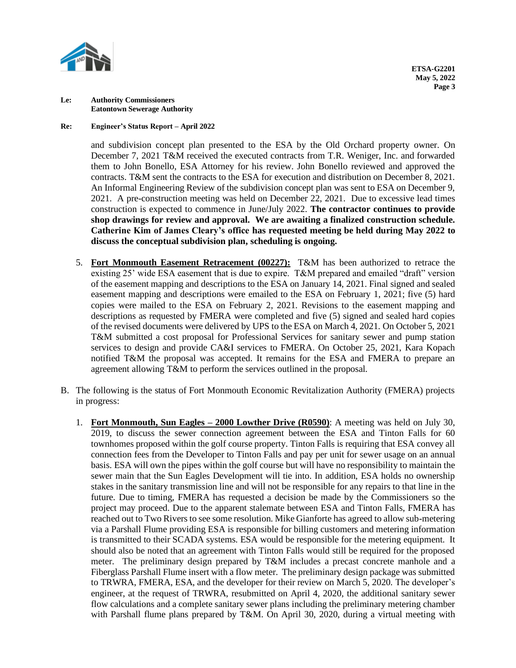

## **Re: Engineer's Status Report – April 2022**

and subdivision concept plan presented to the ESA by the Old Orchard property owner. On December 7, 2021 T&M received the executed contracts from T.R. Weniger, Inc. and forwarded them to John Bonello, ESA Attorney for his review. John Bonello reviewed and approved the contracts. T&M sent the contracts to the ESA for execution and distribution on December 8, 2021. An Informal Engineering Review of the subdivision concept plan was sent to ESA on December 9, 2021. A pre-construction meeting was held on December 22, 2021. Due to excessive lead times construction is expected to commence in June/July 2022. **The contractor continues to provide shop drawings for review and approval. We are awaiting a finalized construction schedule. Catherine Kim of James Cleary's office has requested meeting be held during May 2022 to discuss the conceptual subdivision plan, scheduling is ongoing.**

- 5. **Fort Monmouth Easement Retracement (00227):** T&M has been authorized to retrace the existing 25' wide ESA easement that is due to expire. T&M prepared and emailed "draft" version of the easement mapping and descriptions to the ESA on January 14, 2021. Final signed and sealed easement mapping and descriptions were emailed to the ESA on February 1, 2021; five (5) hard copies were mailed to the ESA on February 2, 2021. Revisions to the easement mapping and descriptions as requested by FMERA were completed and five (5) signed and sealed hard copies of the revised documents were delivered by UPS to the ESA on March 4, 2021. On October 5, 2021 T&M submitted a cost proposal for Professional Services for sanitary sewer and pump station services to design and provide CA&I services to FMERA. On October 25, 2021, Kara Kopach notified T&M the proposal was accepted. It remains for the ESA and FMERA to prepare an agreement allowing T&M to perform the services outlined in the proposal.
- B. The following is the status of Fort Monmouth Economic Revitalization Authority (FMERA) projects in progress:
	- 1. **Fort Monmouth, Sun Eagles – 2000 Lowther Drive (R0590)**: A meeting was held on July 30, 2019, to discuss the sewer connection agreement between the ESA and Tinton Falls for 60 townhomes proposed within the golf course property. Tinton Falls is requiring that ESA convey all connection fees from the Developer to Tinton Falls and pay per unit for sewer usage on an annual basis. ESA will own the pipes within the golf course but will have no responsibility to maintain the sewer main that the Sun Eagles Development will tie into. In addition, ESA holds no ownership stakes in the sanitary transmission line and will not be responsible for any repairs to that line in the future. Due to timing, FMERA has requested a decision be made by the Commissioners so the project may proceed. Due to the apparent stalemate between ESA and Tinton Falls, FMERA has reached out to Two Rivers to see some resolution. Mike Gianforte has agreed to allow sub-metering via a Parshall Flume providing ESA is responsible for billing customers and metering information is transmitted to their SCADA systems. ESA would be responsible for the metering equipment. It should also be noted that an agreement with Tinton Falls would still be required for the proposed meter. The preliminary design prepared by T&M includes a precast concrete manhole and a Fiberglass Parshall Flume insert with a flow meter. The preliminary design package was submitted to TRWRA, FMERA, ESA, and the developer for their review on March 5, 2020. The developer's engineer, at the request of TRWRA, resubmitted on April 4, 2020, the additional sanitary sewer flow calculations and a complete sanitary sewer plans including the preliminary metering chamber with Parshall flume plans prepared by T&M. On April 30, 2020, during a virtual meeting with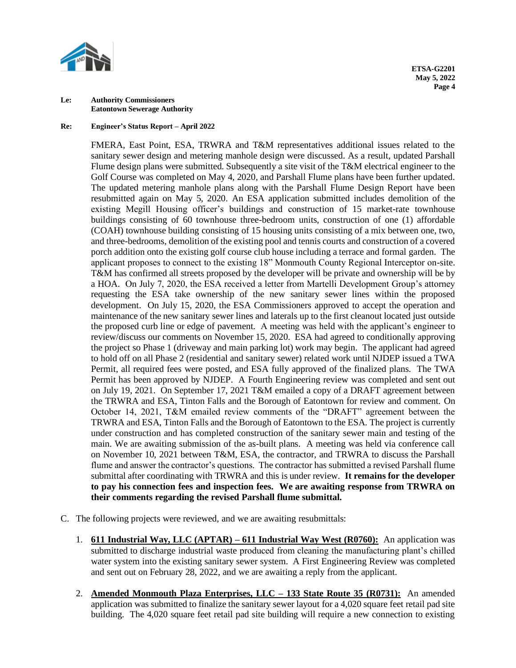

### **Re: Engineer's Status Report – April 2022**

FMERA, East Point, ESA, TRWRA and T&M representatives additional issues related to the sanitary sewer design and metering manhole design were discussed. As a result, updated Parshall Flume design plans were submitted. Subsequently a site visit of the T&M electrical engineer to the Golf Course was completed on May 4, 2020, and Parshall Flume plans have been further updated. The updated metering manhole plans along with the Parshall Flume Design Report have been resubmitted again on May 5, 2020. An ESA application submitted includes demolition of the existing Megill Housing officer's buildings and construction of 15 market-rate townhouse buildings consisting of 60 townhouse three-bedroom units, construction of one (1) affordable (COAH) townhouse building consisting of 15 housing units consisting of a mix between one, two, and three-bedrooms, demolition of the existing pool and tennis courts and construction of a covered porch addition onto the existing golf course club house including a terrace and formal garden. The applicant proposes to connect to the existing 18" Monmouth County Regional Interceptor on-site. T&M has confirmed all streets proposed by the developer will be private and ownership will be by a HOA. On July 7, 2020, the ESA received a letter from Martelli Development Group's attorney requesting the ESA take ownership of the new sanitary sewer lines within the proposed development. On July 15, 2020, the ESA Commissioners approved to accept the operation and maintenance of the new sanitary sewer lines and laterals up to the first cleanout located just outside the proposed curb line or edge of pavement.A meeting was held with the applicant's engineer to review/discuss our comments on November 15, 2020.ESA had agreed to conditionally approving the project so Phase 1 (driveway and main parking lot) work may begin. The applicant had agreed to hold off on all Phase 2 (residential and sanitary sewer) related work until NJDEP issued a TWA Permit, all required fees were posted, and ESA fully approved of the finalized plans. The TWA Permit has been approved by NJDEP. A Fourth Engineering review was completed and sent out on July 19, 2021.On September 17, 2021 T&M emailed a copy of a DRAFT agreement between the TRWRA and ESA, Tinton Falls and the Borough of Eatontown for review and comment. On October 14, 2021, T&M emailed review comments of the "DRAFT" agreement between the TRWRA and ESA, Tinton Falls and the Borough of Eatontown to the ESA. The project is currently under construction and has completed construction of the sanitary sewer main and testing of the main. We are awaiting submission of the as-built plans. A meeting was held via conference call on November 10, 2021 between T&M, ESA, the contractor, and TRWRA to discuss the Parshall flume and answer the contractor's questions. The contractor has submitted a revised Parshall flume submittal after coordinating with TRWRA and this is under review. **It remains for the developer to pay his connection fees and inspection fees. We are awaiting response from TRWRA on their comments regarding the revised Parshall flume submittal.**

- C. The following projects were reviewed, and we are awaiting resubmittals:
	- 1. **611 Industrial Way, LLC (APTAR) – 611 Industrial Way West (R0760):** An application was submitted to discharge industrial waste produced from cleaning the manufacturing plant's chilled water system into the existing sanitary sewer system. A First Engineering Review was completed and sent out on February 28, 2022, and we are awaiting a reply from the applicant.
	- 2. **Amended Monmouth Plaza Enterprises, LLC – 133 State Route 35 (R0731):** An amended application was submitted to finalize the sanitary sewer layout for a 4,020 square feet retail pad site building. The 4,020 square feet retail pad site building will require a new connection to existing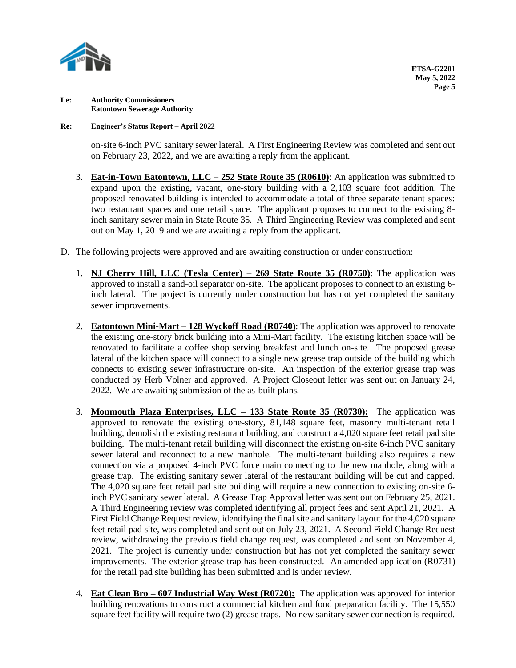

## **Re: Engineer's Status Report – April 2022**

on-site 6-inch PVC sanitary sewer lateral. A First Engineering Review was completed and sent out on February 23, 2022, and we are awaiting a reply from the applicant.

- 3. **Eat-in-Town Eatontown, LLC – 252 State Route 35 (R0610)**: An application was submitted to expand upon the existing, vacant, one-story building with a 2,103 square foot addition. The proposed renovated building is intended to accommodate a total of three separate tenant spaces: two restaurant spaces and one retail space. The applicant proposes to connect to the existing 8 inch sanitary sewer main in State Route 35. A Third Engineering Review was completed and sent out on May 1, 2019 and we are awaiting a reply from the applicant.
- D. The following projects were approved and are awaiting construction or under construction:
	- 1. **NJ Cherry Hill, LLC (Tesla Center) – 269 State Route 35 (R0750)**: The application was approved to install a sand-oil separator on-site. The applicant proposes to connect to an existing 6 inch lateral. The project is currently under construction but has not yet completed the sanitary sewer improvements.
	- 2. **Eatontown Mini-Mart – 128 Wyckoff Road (R0740)**: The application was approved to renovate the existing one-story brick building into a Mini-Mart facility. The existing kitchen space will be renovated to facilitate a coffee shop serving breakfast and lunch on-site. The proposed grease lateral of the kitchen space will connect to a single new grease trap outside of the building which connects to existing sewer infrastructure on-site.An inspection of the exterior grease trap was conducted by Herb Volner and approved. A Project Closeout letter was sent out on January 24, 2022. We are awaiting submission of the as-built plans.
	- 3. **Monmouth Plaza Enterprises, LLC – 133 State Route 35 (R0730):** The application was approved to renovate the existing one-story, 81,148 square feet, masonry multi-tenant retail building, demolish the existing restaurant building, and construct a 4,020 square feet retail pad site building. The multi-tenant retail building will disconnect the existing on-site 6-inch PVC sanitary sewer lateral and reconnect to a new manhole. The multi-tenant building also requires a new connection via a proposed 4-inch PVC force main connecting to the new manhole, along with a grease trap. The existing sanitary sewer lateral of the restaurant building will be cut and capped. The 4,020 square feet retail pad site building will require a new connection to existing on-site 6 inch PVC sanitary sewer lateral. A Grease Trap Approval letter was sent out on February 25, 2021. A Third Engineering review was completed identifying all project fees and sent April 21, 2021. A First Field Change Request review, identifying the final site and sanitary layout for the 4,020 square feet retail pad site, was completed and sent out on July 23, 2021.A Second Field Change Request review, withdrawing the previous field change request, was completed and sent on November 4, 2021. The project is currently under construction but has not yet completed the sanitary sewer improvements. The exterior grease trap has been constructed.An amended application (R0731) for the retail pad site building has been submitted and is under review.
	- 4. **Eat Clean Bro – 607 Industrial Way West (R0720):** The application was approved for interior building renovations to construct a commercial kitchen and food preparation facility. The 15,550 square feet facility will require two (2) grease traps. No new sanitary sewer connection is required.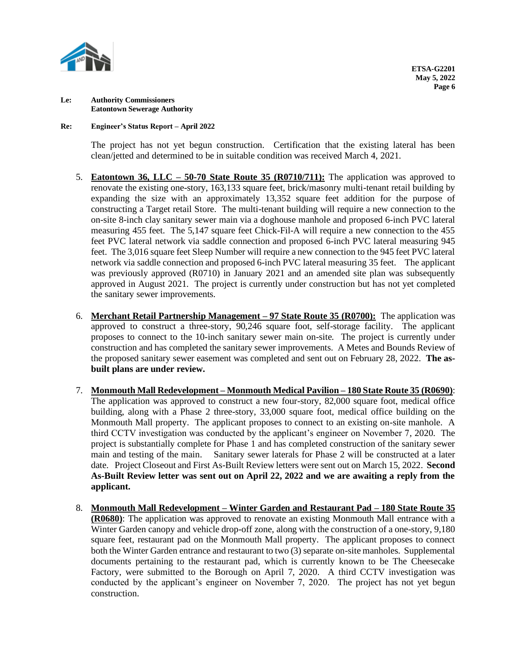

## **Re: Engineer's Status Report – April 2022**

The project has not yet begun construction. Certification that the existing lateral has been clean/jetted and determined to be in suitable condition was received March 4, 2021.

- 5. **Eatontown 36, LLC – 50-70 State Route 35 (R0710/711):** The application was approved to renovate the existing one-story, 163,133 square feet, brick/masonry multi-tenant retail building by expanding the size with an approximately 13,352 square feet addition for the purpose of constructing a Target retail Store. The multi-tenant building will require a new connection to the on-site 8-inch clay sanitary sewer main via a doghouse manhole and proposed 6-inch PVC lateral measuring 455 feet. The 5,147 square feet Chick-Fil-A will require a new connection to the 455 feet PVC lateral network via saddle connection and proposed 6-inch PVC lateral measuring 945 feet. The 3,016 square feet Sleep Number will require a new connection to the 945 feet PVC lateral network via saddle connection and proposed 6-inch PVC lateral measuring 35 feet. The applicant was previously approved (R0710) in January 2021 and an amended site plan was subsequently approved in August 2021.The project is currently under construction but has not yet completed the sanitary sewer improvements.
- 6. **Merchant Retail Partnership Management – 97 State Route 35 (R0700):** The application was approved to construct a three-story, 90,246 square foot, self-storage facility. The applicant proposes to connect to the 10-inch sanitary sewer main on-site. The project is currently under construction and has completed the sanitary sewer improvements. A Metes and Bounds Review of the proposed sanitary sewer easement was completed and sent out on February 28, 2022. **The asbuilt plans are under review.**
- 7. **Monmouth Mall Redevelopment – Monmouth Medical Pavilion – 180 State Route 35 (R0690)**: The application was approved to construct a new four-story, 82,000 square foot, medical office building, along with a Phase 2 three-story, 33,000 square foot, medical office building on the Monmouth Mall property. The applicant proposes to connect to an existing on-site manhole. A third CCTV investigation was conducted by the applicant's engineer on November 7, 2020. The project is substantially complete for Phase 1 and has completed construction of the sanitary sewer main and testing of the main. Sanitary sewer laterals for Phase 2 will be constructed at a later date. Project Closeout and First As-Built Review letters were sent out on March 15, 2022. **Second As-Built Review letter was sent out on April 22, 2022 and we are awaiting a reply from the applicant.**
- 8. **Monmouth Mall Redevelopment – Winter Garden and Restaurant Pad – 180 State Route 35 (R0680)**: The application was approved to renovate an existing Monmouth Mall entrance with a Winter Garden canopy and vehicle drop-off zone, along with the construction of a one-story, 9,180 square feet, restaurant pad on the Monmouth Mall property. The applicant proposes to connect both the Winter Garden entrance and restaurant to two (3) separate on-site manholes. Supplemental documents pertaining to the restaurant pad, which is currently known to be The Cheesecake Factory, were submitted to the Borough on April 7, 2020. A third CCTV investigation was conducted by the applicant's engineer on November 7, 2020. The project has not yet begun construction.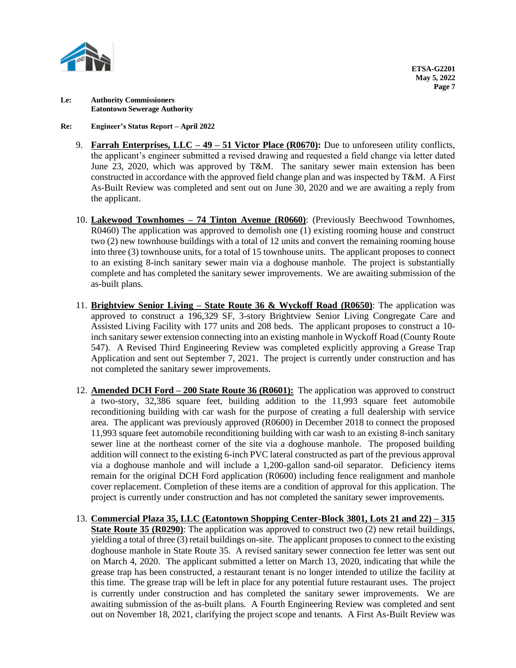

## **Re: Engineer's Status Report – April 2022**

- 9. **Farrah Enterprises, LLC – 49 – 51 Victor Place (R0670):** Due to unforeseen utility conflicts, the applicant's engineer submitted a revised drawing and requested a field change via letter dated June 23, 2020, which was approved by T&M. The sanitary sewer main extension has been constructed in accordance with the approved field change plan and was inspected by T&M. A First As-Built Review was completed and sent out on June 30, 2020 and we are awaiting a reply from the applicant.
- 10. **Lakewood Townhomes – 74 Tinton Avenue (R0660)**: (Previously Beechwood Townhomes, R0460) The application was approved to demolish one (1) existing rooming house and construct two (2) new townhouse buildings with a total of 12 units and convert the remaining rooming house into three (3) townhouse units, for a total of 15 townhouse units. The applicant proposes to connect to an existing 8-inch sanitary sewer main via a doghouse manhole. The project is substantially complete and has completed the sanitary sewer improvements. We are awaiting submission of the as-built plans.
- 11. **Brightview Senior Living – State Route 36 & Wyckoff Road (R0650)**: The application was approved to construct a 196,329 SF, 3-story Brightview Senior Living Congregate Care and Assisted Living Facility with 177 units and 208 beds. The applicant proposes to construct a 10 inch sanitary sewer extension connecting into an existing manhole in Wyckoff Road (County Route 547). A Revised Third Engineering Review was completed explicitly approving a Grease Trap Application and sent out September 7, 2021. The project is currently under construction and has not completed the sanitary sewer improvements.
- 12. **Amended DCH Ford – 200 State Route 36 (R0601):** The application was approved to construct a two-story, 32,386 square feet, building addition to the 11,993 square feet automobile reconditioning building with car wash for the purpose of creating a full dealership with service area. The applicant was previously approved (R0600) in December 2018 to connect the proposed 11,993 square feet automobile reconditioning building with car wash to an existing 8-inch sanitary sewer line at the northeast corner of the site via a doghouse manhole. The proposed building addition will connect to the existing 6-inch PVC lateral constructed as part of the previous approval via a doghouse manhole and will include a 1,200-gallon sand-oil separator. Deficiency items remain for the original DCH Ford application (R0600) including fence realignment and manhole cover replacement. Completion of these items are a condition of approval for this application. The project is currently under construction and has not completed the sanitary sewer improvements.
- 13. **Commercial Plaza 35, LLC (Eatontown Shopping Center-Block 3801, Lots 21 and 22) – 315 State Route 35 (R0290)**: The application was approved to construct two (2) new retail buildings, yielding a total of three (3) retail buildings on-site. The applicant proposes to connect to the existing doghouse manhole in State Route 35. A revised sanitary sewer connection fee letter was sent out on March 4, 2020. The applicant submitted a letter on March 13, 2020, indicating that while the grease trap has been constructed, a restaurant tenant is no longer intended to utilize the facility at this time. The grease trap will be left in place for any potential future restaurant uses. The project is currently under construction and has completed the sanitary sewer improvements. We are awaiting submission of the as-built plans. A Fourth Engineering Review was completed and sent out on November 18, 2021, clarifying the project scope and tenants.A First As-Built Review was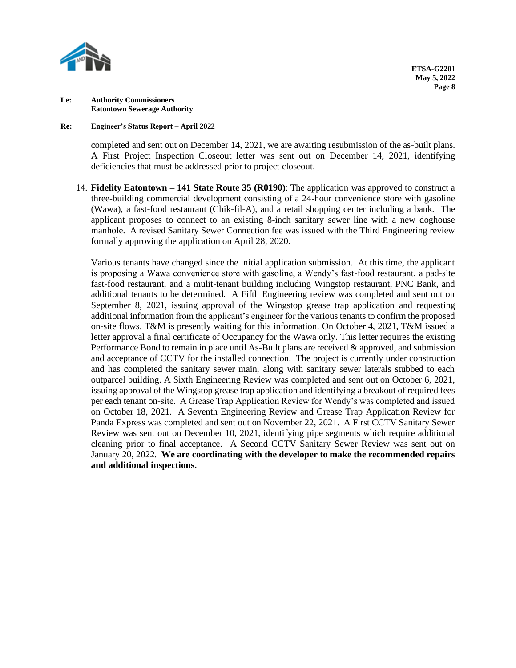

### **Re: Engineer's Status Report – April 2022**

completed and sent out on December 14, 2021, we are awaiting resubmission of the as-built plans. A First Project Inspection Closeout letter was sent out on December 14, 2021, identifying deficiencies that must be addressed prior to project closeout.

14. **Fidelity Eatontown – 141 State Route 35 (R0190)**: The application was approved to construct a three-building commercial development consisting of a 24-hour convenience store with gasoline (Wawa), a fast-food restaurant (Chik-fil-A), and a retail shopping center including a bank. The applicant proposes to connect to an existing 8-inch sanitary sewer line with a new doghouse manhole. A revised Sanitary Sewer Connection fee was issued with the Third Engineering review formally approving the application on April 28, 2020.

Various tenants have changed since the initial application submission. At this time, the applicant is proposing a Wawa convenience store with gasoline, a Wendy's fast-food restaurant, a pad-site fast-food restaurant, and a mulit-tenant building including Wingstop restaurant, PNC Bank, and additional tenants to be determined. A Fifth Engineering review was completed and sent out on September 8, 2021, issuing approval of the Wingstop grease trap application and requesting additional information from the applicant's engineer for the various tenants to confirm the proposed on-site flows. T&M is presently waiting for this information. On October 4, 2021, T&M issued a letter approval a final certificate of Occupancy for the Wawa only. This letter requires the existing Performance Bond to remain in place until As-Built plans are received & approved, and submission and acceptance of CCTV for the installed connection. The project is currently under construction and has completed the sanitary sewer main, along with sanitary sewer laterals stubbed to each outparcel building. A Sixth Engineering Review was completed and sent out on October 6, 2021, issuing approval of the Wingstop grease trap application and identifying a breakout of required fees per each tenant on-site. A Grease Trap Application Review for Wendy's was completed and issued on October 18, 2021.A Seventh Engineering Review and Grease Trap Application Review for Panda Express was completed and sent out on November 22, 2021. A First CCTV Sanitary Sewer Review was sent out on December 10, 2021, identifying pipe segments which require additional cleaning prior to final acceptance.A Second CCTV Sanitary Sewer Review was sent out on January 20, 2022. **We are coordinating with the developer to make the recommended repairs and additional inspections.**